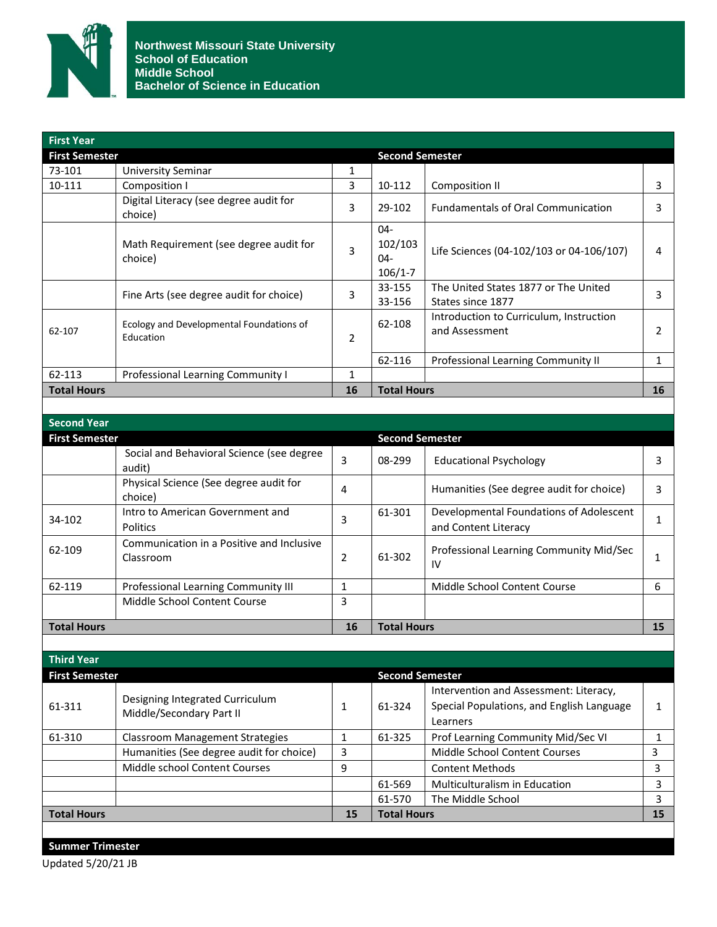

| <b>First Year</b>     |                                                             |                |                                            |                                                                                     |              |
|-----------------------|-------------------------------------------------------------|----------------|--------------------------------------------|-------------------------------------------------------------------------------------|--------------|
| <b>First Semester</b> |                                                             |                | <b>Second Semester</b>                     |                                                                                     |              |
| 73-101                | <b>University Seminar</b>                                   | $\mathbf{1}$   |                                            |                                                                                     |              |
| 10-111                | Composition I                                               | 3              | 10-112                                     | <b>Composition II</b>                                                               | 3            |
|                       | Digital Literacy (see degree audit for<br>choice)           | 3              | 29-102                                     | <b>Fundamentals of Oral Communication</b>                                           | 3            |
|                       | Math Requirement (see degree audit for<br>choice)           | 3              | $04 -$<br>102/103<br>$04 -$<br>$106/1 - 7$ | Life Sciences (04-102/103 or 04-106/107)                                            | 4            |
|                       | Fine Arts (see degree audit for choice)                     | 3              | 33-155<br>33-156                           | The United States 1877 or The United<br>States since 1877                           | 3            |
| 62-107                | Ecology and Developmental Foundations of<br>Education       | $\overline{2}$ | 62-108                                     | Introduction to Curriculum, Instruction<br>and Assessment                           | 2            |
|                       |                                                             |                | 62-116                                     | Professional Learning Community II                                                  | $\mathbf{1}$ |
| 62-113                | Professional Learning Community I                           | $\mathbf{1}$   |                                            |                                                                                     |              |
| <b>Total Hours</b>    |                                                             | 16             | <b>Total Hours</b>                         |                                                                                     | 16           |
|                       |                                                             |                |                                            |                                                                                     |              |
| <b>Second Year</b>    |                                                             |                |                                            |                                                                                     |              |
| <b>First Semester</b> |                                                             |                | <b>Second Semester</b>                     |                                                                                     |              |
|                       | Social and Behavioral Science (see degree<br>audit)         | $\overline{3}$ | 08-299                                     | <b>Educational Psychology</b>                                                       | 3            |
|                       | Physical Science (See degree audit for<br>choice)           | 4              |                                            | Humanities (See degree audit for choice)                                            | 3            |
| 34-102                | Intro to American Government and<br><b>Politics</b>         | 3              | 61-301                                     | Developmental Foundations of Adolescent<br>and Content Literacy                     | $\mathbf{1}$ |
| 62-109                | Communication in a Positive and Inclusive<br>Classroom      | $\overline{2}$ | 61-302                                     | Professional Learning Community Mid/Sec<br>IV                                       | $\mathbf{1}$ |
| 62-119                | Professional Learning Community III                         | $\mathbf{1}$   |                                            | Middle School Content Course                                                        | 6            |
|                       | Middle School Content Course                                | $\overline{3}$ |                                            |                                                                                     |              |
| <b>Total Hours</b>    |                                                             | 16             | <b>Total Hours</b>                         |                                                                                     | 15           |
|                       |                                                             |                |                                            |                                                                                     |              |
| <b>Third Year</b>     |                                                             |                |                                            |                                                                                     |              |
| <b>First Semester</b> |                                                             |                | <b>Second Semester</b>                     |                                                                                     |              |
| 61-311                | Designing Integrated Curriculum<br>Middle/Secondary Part II | $\mathbf{1}$   | 61-324                                     | Intervention and Assessment: Literacy,<br>Special Populations, and English Language | 1            |

| <b>Total Hours</b> |                                                             | 15 | <b>Total Hours</b> |                                           | 15 |
|--------------------|-------------------------------------------------------------|----|--------------------|-------------------------------------------|----|
|                    |                                                             |    | 61-570             | The Middle School                         |    |
|                    |                                                             |    | 61-569             | <b>Multiculturalism in Education</b>      |    |
|                    | Middle school Content Courses                               | q  |                    | <b>Content Methods</b>                    |    |
|                    | Humanities (See degree audit for choice)                    | э  |                    | Middle School Content Courses             |    |
| 61-310             | Classroom Management Strategies                             |    | 61-325             | Prof Learning Community Mid/Sec VI        |    |
|                    |                                                             |    |                    | Learners                                  |    |
| 61-311             | Designing integrated Curriculum<br>Middle/Secondary Part II |    | 61-324             | Special Populations, and English Language |    |

Updated 5/20/21 JB **Summer Trimester**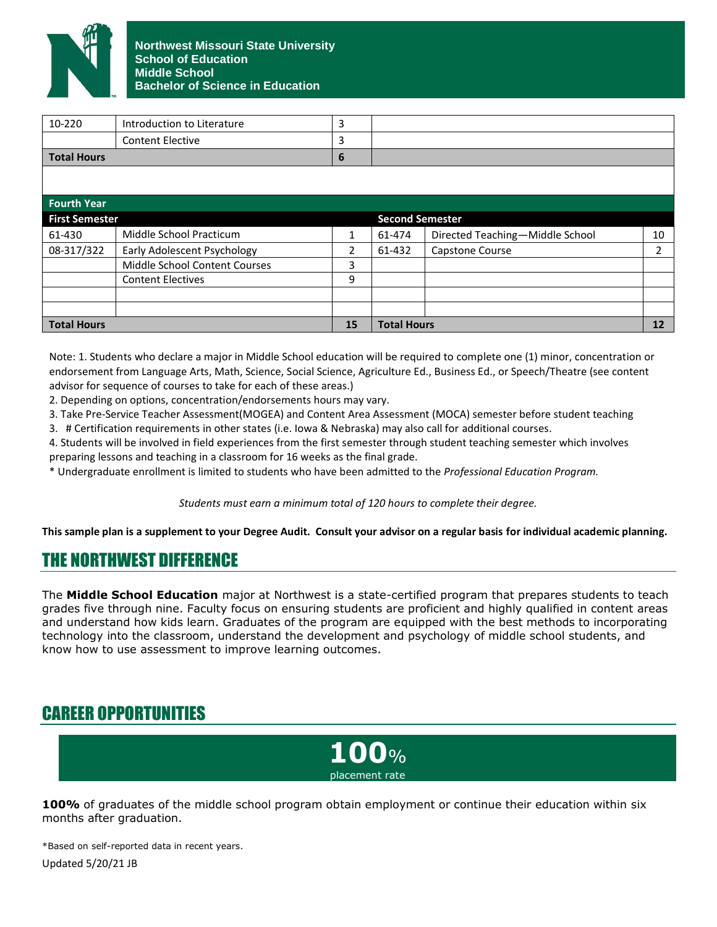

| <b>Total Hours</b>    |                                    | 15 | <b>Total Hours</b>     |                                 | 12             |
|-----------------------|------------------------------------|----|------------------------|---------------------------------|----------------|
|                       |                                    |    |                        |                                 |                |
|                       |                                    |    |                        |                                 |                |
|                       | <b>Content Electives</b>           | 9  |                        |                                 |                |
|                       | Middle School Content Courses      | 3  |                        |                                 |                |
| 08-317/322            | <b>Early Adolescent Psychology</b> | 2  | 61-432                 | Capstone Course                 | $\overline{2}$ |
| 61-430                | Middle School Practicum            | 1  | 61-474                 | Directed Teaching-Middle School | 10             |
| <b>First Semester</b> |                                    |    | <b>Second Semester</b> |                                 |                |
| <b>Fourth Year</b>    |                                    |    |                        |                                 |                |
|                       |                                    |    |                        |                                 |                |
|                       |                                    |    |                        |                                 |                |
| <b>Total Hours</b>    |                                    | 6  |                        |                                 |                |
|                       | <b>Content Elective</b>            | 3  |                        |                                 |                |
| 10-220                | Introduction to Literature         | 3  |                        |                                 |                |

Note: 1. Students who declare a major in Middle School education will be required to complete one (1) minor, concentration or endorsement from Language Arts, Math, Science, Social Science, Agriculture Ed., Business Ed., or Speech/Theatre (see content advisor for sequence of courses to take for each of these areas.)

2. Depending on options, concentration/endorsements hours may vary.

3. Take Pre-Service Teacher Assessment(MOGEA) and Content Area Assessment (MOCA) semester before student teaching

3. # Certification requirements in other states (i.e. Iowa & Nebraska) may also call for additional courses.

4. Students will be involved in field experiences from the first semester through student teaching semester which involves preparing lessons and teaching in a classroom for 16 weeks as the final grade.

\* Undergraduate enrollment is limited to students who have been admitted to the *Professional Education Program.*

*Students must earn a minimum total of 120 hours to complete their degree.*

**This sample plan is a supplement to your Degree Audit. Consult your advisor on a regular basis for individual academic planning.**

## THE NORTHWEST DIFFERENCE

The **Middle School Education** major at Northwest is a state-certified program that prepares students to teach grades five through nine. Faculty focus on ensuring students are proficient and highly qualified in content areas and understand how kids learn. Graduates of the program are equipped with the best methods to incorporating technology into the classroom, understand the development and psychology of middle school students, and know how to use assessment to improve learning outcomes.

## CAREER OPPORTUNITIES



**100%** of graduates of the middle school program obtain employment or continue their education within six months after graduation.

Updated 5/20/21 JB \*Based on self-reported data in recent years.